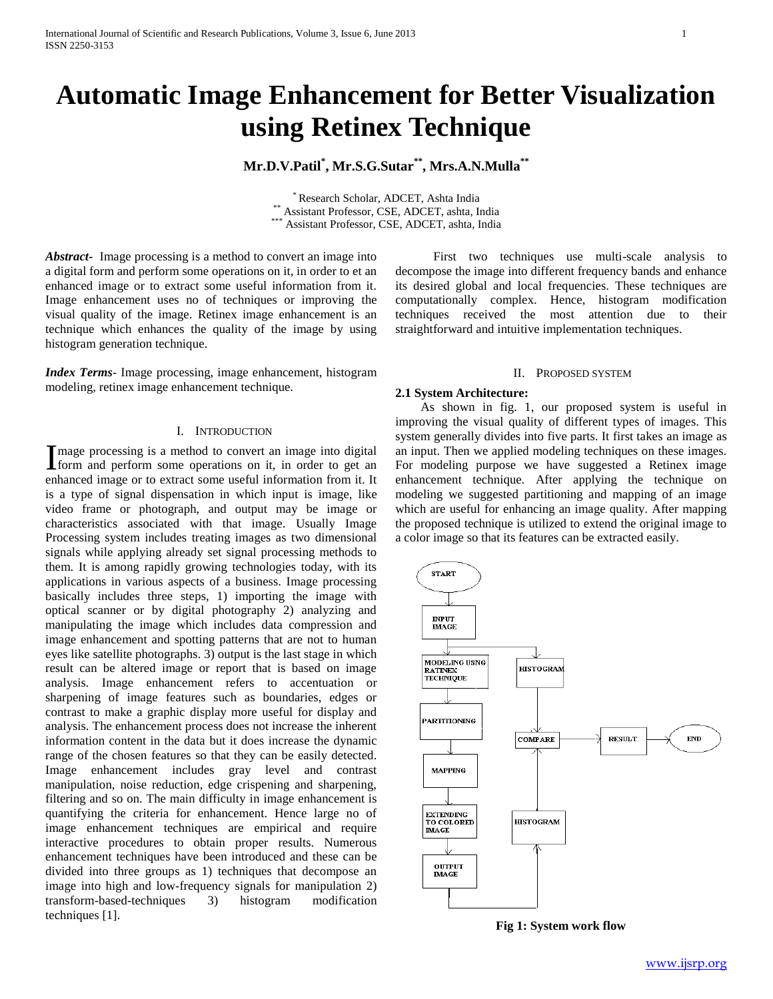# **Automatic Image Enhancement for Better Visualization using Retinex Technique**

## **Mr.D.V.Patil\* , Mr.S.G.Sutar\*\* , Mrs.A.N.Mulla\*\***

\* Research Scholar, ADCET, Ashta India \*\* Assistant Professor, CSE, ADCET, ashta, India Assistant Professor, CSE, ADCET, ashta, India

*Abstract***-** Image processing is a method to convert an image into a digital form and perform some operations on it, in order to et an enhanced image or to extract some useful information from it. Image enhancement uses no of techniques or improving the visual quality of the image. Retinex image enhancement is an technique which enhances the quality of the image by using histogram generation technique.

*Index Terms*- Image processing, image enhancement, histogram modeling, retinex image enhancement technique.

## I. INTRODUCTION

Image processing is a method to convert an image into digital form and perform some operations on it, in order to get an form and perform some operations on it, in order to get an enhanced image or to extract some useful information from it. It is a type of signal dispensation in which input is image, like video frame or photograph, and output may be image or characteristics associated with that image. Usually Image Processing system includes treating images as two dimensional signals while applying already set signal processing methods to them. It is among rapidly growing technologies today, with its applications in various aspects of a business. Image processing basically includes three steps, 1) importing the image with optical scanner or by digital photography 2) analyzing and manipulating the image which includes data compression and image enhancement and spotting patterns that are not to human eyes like satellite photographs. 3) output is the last stage in which result can be altered image or report that is based on image analysis. Image enhancement refers to accentuation or sharpening of image features such as boundaries, edges or contrast to make a graphic display more useful for display and analysis. The enhancement process does not increase the inherent information content in the data but it does increase the dynamic range of the chosen features so that they can be easily detected. Image enhancement includes gray level and contrast manipulation, noise reduction, edge crispening and sharpening, filtering and so on. The main difficulty in image enhancement is quantifying the criteria for enhancement. Hence large no of image enhancement techniques are empirical and require interactive procedures to obtain proper results. Numerous enhancement techniques have been introduced and these can be divided into three groups as 1) techniques that decompose an image into high and low-frequency signals for manipulation 2) transform-based-techniques 3) histogram modification techniques [1].

 First two techniques use multi-scale analysis to decompose the image into different frequency bands and enhance its desired global and local frequencies. These techniques are computationally complex. Hence, histogram modification techniques received the most attention due to their straightforward and intuitive implementation techniques.

## II. PROPOSED SYSTEM

## **2.1 System Architecture:**

 As shown in fig. 1, our proposed system is useful in improving the visual quality of different types of images. This system generally divides into five parts. It first takes an image as an input. Then we applied modeling techniques on these images. For modeling purpose we have suggested a Retinex image enhancement technique. After applying the technique on modeling we suggested partitioning and mapping of an image which are useful for enhancing an image quality. After mapping the proposed technique is utilized to extend the original image to a color image so that its features can be extracted easily.



**Fig 1: System work flow**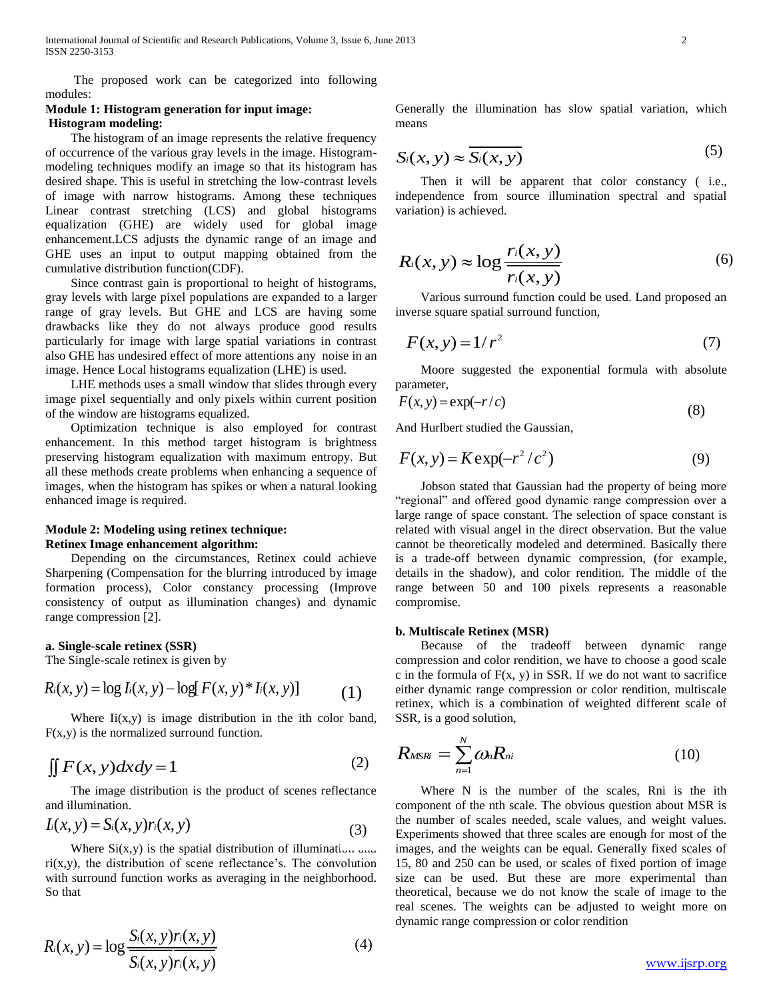The proposed work can be categorized into following modules:

## **Module 1: Histogram generation for input image: Histogram modeling:**

 The histogram of an image represents the relative frequency of occurrence of the various gray levels in the image. Histogrammodeling techniques modify an image so that its histogram has desired shape. This is useful in stretching the low-contrast levels of image with narrow histograms. Among these techniques Linear contrast stretching (LCS) and global histograms equalization (GHE) are widely used for global image enhancement.LCS adjusts the dynamic range of an image and GHE uses an input to output mapping obtained from the cumulative distribution function(CDF). Excertere of the various gray livele in the ineage. Histogram is the interaction of the various state of the section is vector that the interaction of the control of the control of the control of the section is vector to

 Since contrast gain is proportional to height of histograms, gray levels with large pixel populations are expanded to a larger range of gray levels. But GHE and LCS are having some drawbacks like they do not always produce good results particularly for image with large spatial variations in contrast also GHE has undesired effect of more attentions any noise in an image. Hence Local histograms equalization (LHE) is used.

 LHE methods uses a small window that slides through every image pixel sequentially and only pixels within current position of the window are histograms equalized.

 Optimization technique is also employed for contrast enhancement. In this method target histogram is brightness preserving histogram equalization with maximum entropy. But all these methods create problems when enhancing a sequence of images, when the histogram has spikes or when a natural looking enhanced image is required.

## **Module 2: Modeling using retinex technique: Retinex Image enhancement algorithm:**

 Depending on the circumstances, Retinex could achieve Sharpening (Compensation for the blurring introduced by image formation process), Color constancy processing (Improve consistency of output as illumination changes) and dynamic range compression [2].

## **a. Single-scale retinex (SSR)**

The Single-scale retinex is given by

$$
R_i(x, y) = \log I_i(x, y) - \log [F(x, y) * I_i(x, y)] \tag{1}
$$

Where  $I_i(x,y)$  is image distribution in the ith color band,  $F(x,y)$  is the normalized surround function.

$$
\iint F(x, y) dx dy = 1 \tag{2}
$$

 The image distribution is the product of scenes reflectance and illumination.

$$
I_i(x, y) = S_i(x, y)r_i(x, y)
$$
\n(3)

Where  $Si(x,y)$  is the spatial distribution of illumination and  $ri(x,y)$ , the distribution of scene reflectance's. The convolution with surround function works as averaging in the neighborhood. So that

$$
R_i(x, y) = \log \frac{S_i(x, y)r_i(x, y)}{S_i(x, y)r_i(x, y)}
$$
(4)

Generally the illumination has slow spatial variation, which means

$$
S_i(x, y) \approx \overline{S_i(x, y)}
$$
 (5)

 Then it will be apparent that color constancy ( i.e., independence from source illumination spectral and spatial variation) is achieved.

$$
R_i(x, y) \approx \log \frac{r_i(x, y)}{r_i(x, y)}
$$
(6)

 Various surround function could be used. Land proposed an inverse square spatial surround function,

$$
F(x, y) = 1/r^2 \tag{7}
$$

 Moore suggested the exponential formula with absolute parameter,

$$
F(x, y) = \exp(-r/c)
$$
\n(8)

And Hurlbert studied the Gaussian,

$$
F(x, y) = K \exp(-r^2/c^2)
$$
 (9)

 Jobson stated that Gaussian had the property of being more "regional" and offered good dynamic range compression over a large range of space constant. The selection of space constant is related with visual angel in the direct observation. But the value cannot be theoretically modeled and determined. Basically there is a trade-off between dynamic compression, (for example, details in the shadow), and color rendition. The middle of the range between 50 and 100 pixels represents a reasonable compromise.

## **b. Multiscale Retinex (MSR)**

 Because of the tradeoff between dynamic range compression and color rendition, we have to choose a good scale c in the formula of  $F(x, y)$  in SSR. If we do not want to sacrifice either dynamic range compression or color rendition, multiscale retinex, which is a combination of weighted different scale of SSR, is a good solution,

$$
R_{MSR} = \sum_{n=1}^{N} \omega_n R_{ni} \tag{10}
$$

 Where N is the number of the scales, Rni is the ith component of the nth scale. The obvious question about MSR is the number of scales needed, scale values, and weight values. Experiments showed that three scales are enough for most of the images, and the weights can be equal. Generally fixed scales of 15, 80 and 250 can be used, or scales of fixed portion of image size can be used. But these are more experimental than theoretical, because we do not know the scale of image to the real scenes. The weights can be adjusted to weight more on dynamic range compression or color rendition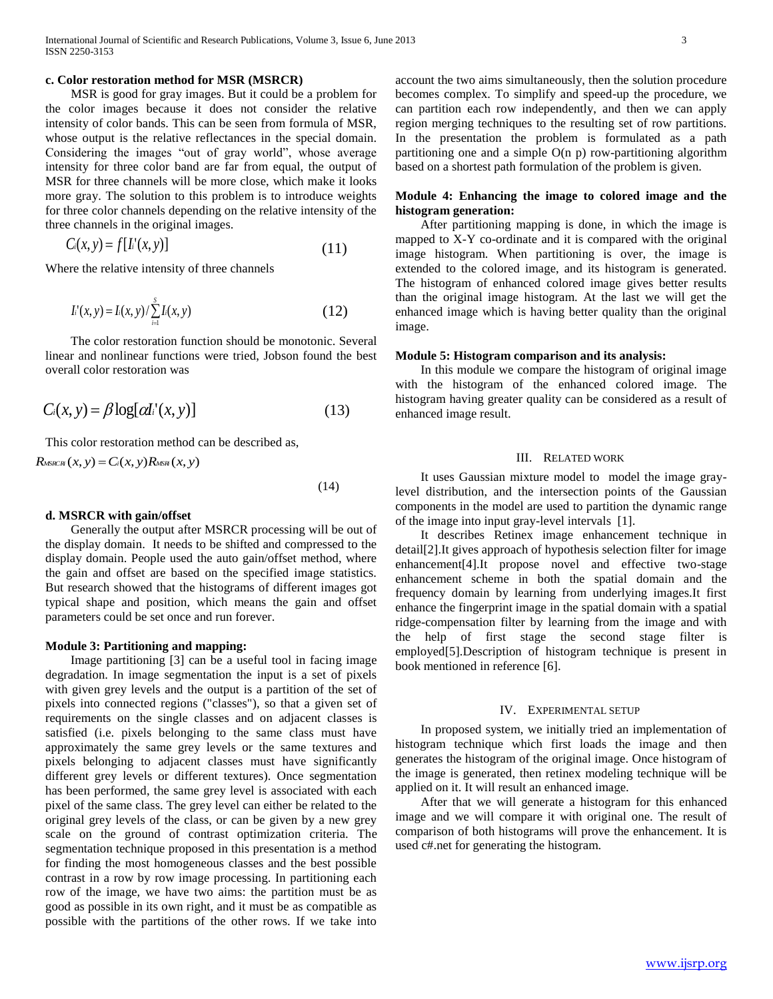## **c. Color restoration method for MSR (MSRCR)**

 MSR is good for gray images. But it could be a problem for the color images because it does not consider the relative intensity of color bands. This can be seen from formula of MSR, whose output is the relative reflectances in the special domain. Considering the images "out of gray world", whose average intensity for three color band are far from equal, the output of MSR for three channels will be more close, which make it looks more gray. The solution to this problem is to introduce weights for three color channels depending on the relative intensity of the three channels in the original images.

$$
C(x, y) = f[I'(x, y)]\tag{11}
$$

Where the relative intensity of three channels

$$
I'(x, y) = I(x, y) / \sum_{i=1}^{S} I_i(x, y)
$$
 (12)

 The color restoration function should be monotonic. Several linear and nonlinear functions were tried, Jobson found the best overall color restoration was

$$
C_i(x, y) = \beta \log[\alpha I_i'(x, y)] \tag{13}
$$

This color restoration method can be described as,

$$
R_{MSRCH}(x, y) = C_i(x, y) R_{MSR}(x, y)
$$

#### **d. MSRCR with gain/offset**

 Generally the output after MSRCR processing will be out of the display domain. It needs to be shifted and compressed to the display domain. People used the auto gain/offset method, where the gain and offset are based on the specified image statistics. But research showed that the histograms of different images got typical shape and position, which means the gain and offset parameters could be set once and run forever.

(14)

## **Module 3: Partitioning and mapping:**

 Image partitioning [3] can be a useful tool in facing image degradation. In image segmentation the input is a set of pixels with given grey levels and the output is a partition of the set of pixels into connected regions ("classes"), so that a given set of requirements on the single classes and on adjacent classes is satisfied (i.e. pixels belonging to the same class must have approximately the same grey levels or the same textures and pixels belonging to adjacent classes must have significantly different grey levels or different textures). Once segmentation has been performed, the same grey level is associated with each pixel of the same class. The grey level can either be related to the original grey levels of the class, or can be given by a new grey scale on the ground of contrast optimization criteria. The segmentation technique proposed in this presentation is a method for finding the most homogeneous classes and the best possible contrast in a row by row image processing. In partitioning each row of the image, we have two aims: the partition must be as good as possible in its own right, and it must be as compatible as possible with the partitions of the other rows. If we take into

account the two aims simultaneously, then the solution procedure becomes complex. To simplify and speed-up the procedure, we can partition each row independently, and then we can apply region merging techniques to the resulting set of row partitions. In the presentation the problem is formulated as a path partitioning one and a simple O(n p) row-partitioning algorithm based on a shortest path formulation of the problem is given.

## **Module 4: Enhancing the image to colored image and the histogram generation:**

 After partitioning mapping is done, in which the image is mapped to X-Y co-ordinate and it is compared with the original image histogram. When partitioning is over, the image is extended to the colored image, and its histogram is generated. The histogram of enhanced colored image gives better results than the original image histogram. At the last we will get the enhanced image which is having better quality than the original image.

#### **Module 5: Histogram comparison and its analysis:**

 In this module we compare the histogram of original image with the histogram of the enhanced colored image. The histogram having greater quality can be considered as a result of enhanced image result.

## III. RELATED WORK

 It uses Gaussian mixture model to model the image graylevel distribution, and the intersection points of the Gaussian components in the model are used to partition the dynamic range of the image into input gray-level intervals [1].

 It describes Retinex image enhancement technique in detail[2].It gives approach of hypothesis selection filter for image enhancement[4].It propose novel and effective two-stage enhancement scheme in both the spatial domain and the frequency domain by learning from underlying images.It first enhance the fingerprint image in the spatial domain with a spatial ridge-compensation filter by learning from the image and with the help of first stage the second stage filter is employed[5].Description of histogram technique is present in book mentioned in reference [6].

#### IV. EXPERIMENTAL SETUP

 In proposed system, we initially tried an implementation of histogram technique which first loads the image and then generates the histogram of the original image. Once histogram of the image is generated, then retinex modeling technique will be applied on it. It will result an enhanced image.

 After that we will generate a histogram for this enhanced image and we will compare it with original one. The result of comparison of both histograms will prove the enhancement. It is used c#.net for generating the histogram.